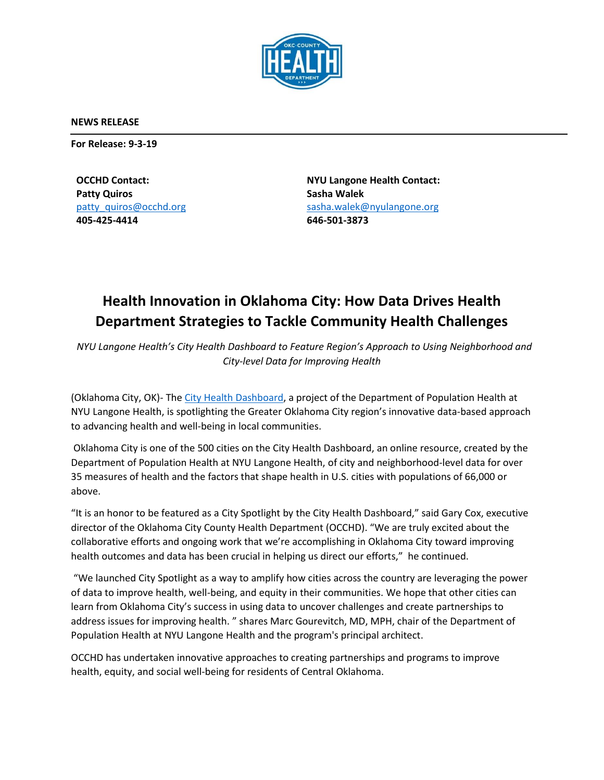

**NEWS RELEASE**

**For Release: 9-3-19**

**OCCHD Contact: Patty Quiros** [patty\\_quiros@occhd.org](mailto:patty_quiros@occhd.org) **405-425-4414**

**NYU Langone Health Contact: Sasha Walek** [sasha.walek@nyulangone.org](mailto:sasha.walek@nyulangone.org) **646-501-3873**

## **Health Innovation in Oklahoma City: How Data Drives Health Department Strategies to Tackle Community Health Challenges**

*NYU Langone Health's City Health Dashboard to Feature Region's Approach to Using Neighborhood and City-level Data for Improving Health*

(Oklahoma City, OK)- The [City Health Dashboard,](http://www.cityhealthdashboard.com/) a project of the Department of Population Health at NYU Langone Health, is spotlighting the Greater Oklahoma City region's innovative data-based approach to advancing health and well-being in local communities.

Oklahoma City is one of the 500 cities on the City Health Dashboard, an online resource, created by the Department of Population Health at NYU Langone Health, of city and neighborhood-level data for over 35 measures of health and the factors that shape health in U.S. cities with populations of 66,000 or above.

"It is an honor to be featured as a City Spotlight by the City Health Dashboard," said Gary Cox, executive director of the Oklahoma City County Health Department (OCCHD). "We are truly excited about the collaborative efforts and ongoing work that we're accomplishing in Oklahoma City toward improving health outcomes and data has been crucial in helping us direct our efforts," he continued.

"We launched City Spotlight as a way to amplify how cities across the country are leveraging the power of data to improve health, well-being, and equity in their communities. We hope that other cities can learn from Oklahoma City's success in using data to uncover challenges and create partnerships to address issues for improving health. " shares Marc Gourevitch, MD, MPH, chair of the Department of Population Health at NYU Langone Health and the program's principal architect.

OCCHD has undertaken innovative approaches to creating partnerships and programs to improve health, equity, and social well-being for residents of Central Oklahoma.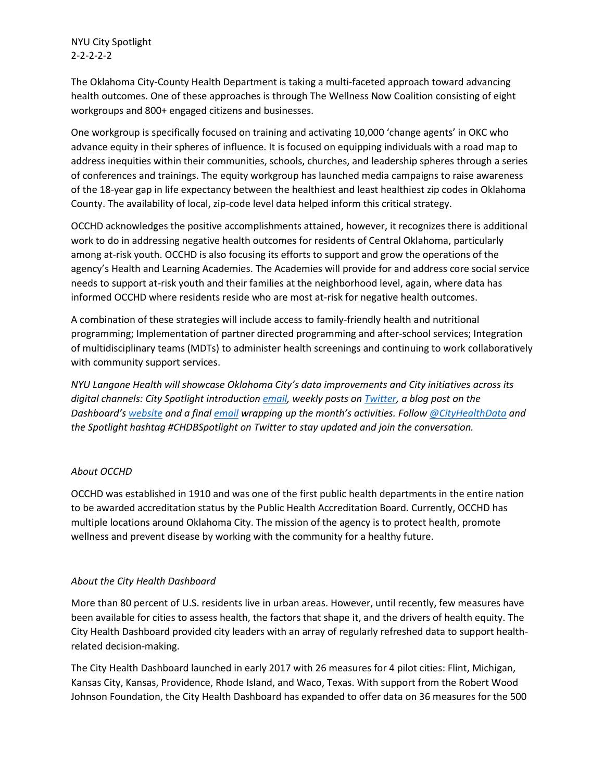NYU City Spotlight 2-2-2-2-2

The Oklahoma City-County Health Department is taking a multi-faceted approach toward advancing health outcomes. One of these approaches is through The Wellness Now Coalition consisting of eight workgroups and 800+ engaged citizens and businesses.

One workgroup is specifically focused on training and activating 10,000 'change agents' in OKC who advance equity in their spheres of influence. It is focused on equipping individuals with a road map to address inequities within their communities, schools, churches, and leadership spheres through a series of conferences and trainings. The equity workgroup has launched media campaigns to raise awareness of the 18-year gap in life expectancy between the healthiest and least healthiest zip codes in Oklahoma County. The availability of local, zip-code level data helped inform this critical strategy.

OCCHD acknowledges the positive accomplishments attained, however, it recognizes there is additional work to do in addressing negative health outcomes for residents of Central Oklahoma, particularly among at-risk youth. OCCHD is also focusing its efforts to support and grow the operations of the agency's Health and Learning Academies. The Academies will provide for and address core social service needs to support at-risk youth and their families at the neighborhood level, again, where data has informed OCCHD where residents reside who are most at-risk for negative health outcomes.

A combination of these strategies will include access to family-friendly health and nutritional programming; Implementation of partner directed programming and after-school services; Integration of multidisciplinary teams (MDTs) to administer health screenings and continuing to work collaboratively with community support services.

*NYU Langone Health will showcase Oklahoma City's data improvements and City initiatives across its digital channels: City Spotlight introduction [email,](https://cityhealthdashboard.us17.list-manage.com/subscribe/post?u=75e15cfe00d5eea6623a9a2e0&id=0782806db6) weekly posts on [Twitter,](https://twitter.com/search?q=%23CHDBSpotlight&src=typed_query) a blog post on the Dashboard's [website](https://www.cityhealthdashboard.com/stories?page=0&storyType=6635719d-6444-4027-bcf2-47b247ee572b) and a final [email](https://cityhealthdashboard.us17.list-manage.com/subscribe/post?u=75e15cfe00d5eea6623a9a2e0&id=0782806db6) wrapping up the month's activities. Follo[w @CityHealthData](https://twitter.com/CityHealthData) and the Spotlight hashtag #CHDBSpotlight on Twitter to stay updated and join the conversation.* 

## *About OCCHD*

OCCHD was established in 1910 and was one of the first public health departments in the entire nation to be awarded accreditation status by the Public Health Accreditation Board. Currently, OCCHD has multiple locations around Oklahoma City. The mission of the agency is to protect health, promote wellness and prevent disease by working with the community for a healthy future.

## *About the City Health Dashboard*

More than 80 percent of U.S. residents live in urban areas. However, until recently, few measures have been available for cities to assess health, the factors that shape it, and the drivers of health equity. The City Health Dashboard provided city leaders with an array of regularly refreshed data to support healthrelated decision-making.

The City Health Dashboard launched in early 2017 with 26 measures for 4 pilot cities: Flint, Michigan, Kansas City, Kansas, Providence, Rhode Island, and Waco, Texas. With support from the Robert Wood Johnson Foundation, the City Health Dashboard has expanded to offer data on 36 measures for the 500